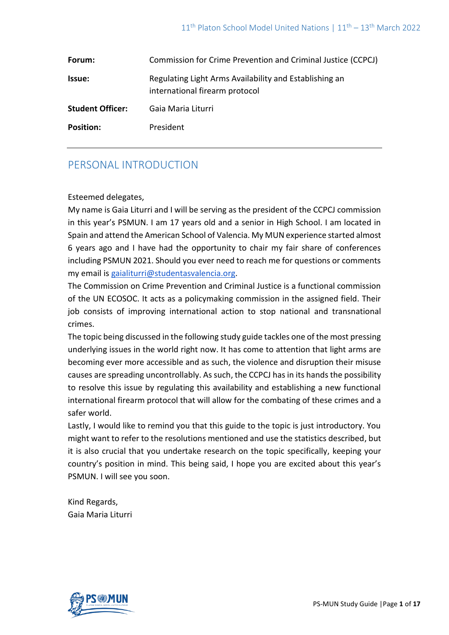| Forum:                  | Commission for Crime Prevention and Criminal Justice (CCPCJ)                             |
|-------------------------|------------------------------------------------------------------------------------------|
| <b>Issue:</b>           | Regulating Light Arms Availability and Establishing an<br>international firearm protocol |
| <b>Student Officer:</b> | Gaia Maria Liturri                                                                       |
| <b>Position:</b>        | President                                                                                |

# PERSONAL INTRODUCTION

### Esteemed delegates,

My name is Gaia Liturri and I will be serving as the president of the CCPCJ commission in this year's PSMUN. I am 17 years old and a senior in High School. I am located in Spain and attend the American School of Valencia. My MUN experience started almost 6 years ago and I have had the opportunity to chair my fair share of conferences including PSMUN 2021. Should you ever need to reach me for questions or comments my email is [gaialiturri@studentasvalencia.org.](mailto:gaialiturri@studentasvalencia.org)

The Commission on Crime Prevention and Criminal Justice is a functional commission of the UN ECOSOC. It acts as a policymaking commission in the assigned field. Their job consists of improving international action to stop national and transnational crimes.

The topic being discussed in the following study guide tackles one of the most pressing underlying issues in the world right now. It has come to attention that light arms are becoming ever more accessible and as such, the violence and disruption their misuse causes are spreading uncontrollably. As such, the CCPCJ has in its hands the possibility to resolve this issue by regulating this availability and establishing a new functional international firearm protocol that will allow for the combating of these crimes and a safer world.

Lastly, I would like to remind you that this guide to the topic is just introductory. You might want to refer to the resolutions mentioned and use the statistics described, but it is also crucial that you undertake research on the topic specifically, keeping your country's position in mind. This being said, I hope you are excited about this year's PSMUN. I will see you soon.

Kind Regards, Gaia Maria Liturri

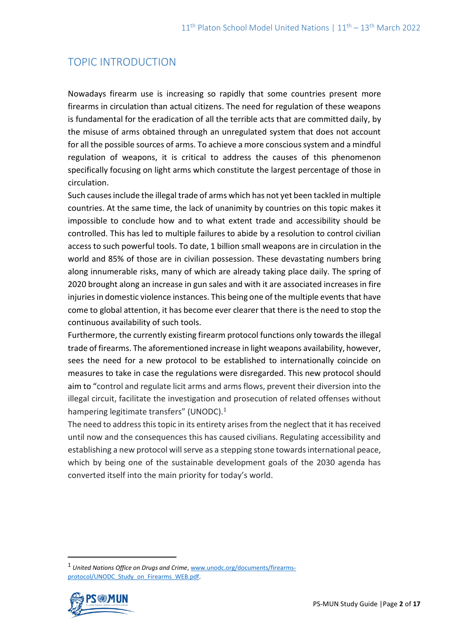# TOPIC INTRODUCTION

Nowadays firearm use is increasing so rapidly that some countries present more firearms in circulation than actual citizens. The need for regulation of these weapons is fundamental for the eradication of all the terrible acts that are committed daily, by the misuse of arms obtained through an unregulated system that does not account for all the possible sources of arms. To achieve a more conscious system and a mindful regulation of weapons, it is critical to address the causes of this phenomenon specifically focusing on light arms which constitute the largest percentage of those in circulation.

Such causes include the illegal trade of arms which has not yet been tackled in multiple countries. At the same time, the lack of unanimity by countries on this topic makes it impossible to conclude how and to what extent trade and accessibility should be controlled. This has led to multiple failures to abide by a resolution to control civilian access to such powerful tools. To date, 1 billion small weapons are in circulation in the world and 85% of those are in civilian possession. These devastating numbers bring along innumerable risks, many of which are already taking place daily. The spring of 2020 brought along an increase in gun sales and with it are associated increases in fire injuries in domestic violence instances. This being one of the multiple events that have come to global attention, it has become ever clearer that there is the need to stop the continuous availability of such tools.

Furthermore, the currently existing firearm protocol functions only towards the illegal trade of firearms. The aforementioned increase in light weapons availability, however, sees the need for a new protocol to be established to internationally coincide on measures to take in case the regulations were disregarded. This new protocol should aim to "control and regulate licit arms and arms flows, prevent their diversion into the illegal circuit, facilitate the investigation and prosecution of related offenses without hampering legitimate transfers" (UNODC).<sup>1</sup>

The need to address this topic in its entirety arises from the neglect that it has received until now and the consequences this has caused civilians. Regulating accessibility and establishing a new protocol will serve as a stepping stone towards international peace, which by being one of the sustainable development goals of the 2030 agenda has converted itself into the main priority for today's world.

<sup>1</sup> *United Nations Office on Drugs and Crime*[, www.unodc.org/documents/firearms](http://www.unodc.org/documents/firearms-protocol/UNODC_Study_on_Firearms_WEB.pdf)[protocol/UNODC\\_Study\\_on\\_Firearms\\_WEB.pdf.](http://www.unodc.org/documents/firearms-protocol/UNODC_Study_on_Firearms_WEB.pdf)

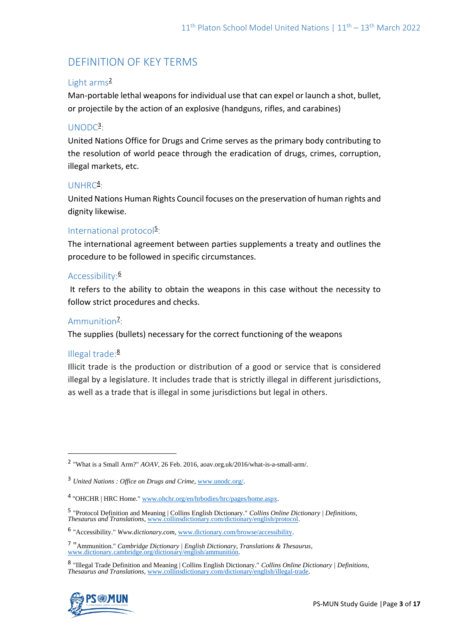# DEFINITION OF KEY TERMS

### Light arms<sup>2</sup>

Man-portable lethal weapons for individual use that can expel or launch a shot, bullet, or projectile by the action of an explosive (handguns, rifles, and carabines)

## UNODC<sup>3</sup>:

United Nations Office for Drugs and Crime serves as the primary body contributing to the resolution of world peace through the eradication of drugs, crimes, corruption, illegal markets, etc.

## $UNHRC<sup>4</sup>$ :

United Nations Human Rights Council focuses on the preservation of human rights and dignity likewise.

## International protocol<sup>5</sup>:

The international agreement between parties supplements a treaty and outlines the procedure to be followed in specific circumstances.

### Accessibility:<sup>6</sup>

It refers to the ability to obtain the weapons in this case without the necessity to follow strict procedures and checks.

## Ammunition<sup>7</sup>:

The supplies (bullets) necessary for the correct functioning of the weapons

### Illegal trade:<sup>8</sup>

Illicit trade is the production or distribution of a good or service that is considered illegal by a legislature. It includes trade that is strictly illegal in different jurisdictions, as well as a trade that is illegal in some jurisdictions but legal in others.

<sup>8</sup> "Illegal Trade Definition and Meaning | Collins English Dictionary." *Collins Online Dictionary | Definitions, Thesaurus and Translations*[, www.collinsdictionary.com/dictionary/english/illegal-trade.](http://www.collinsdictionary.com/dictionary/english/illegal-trade)



<sup>2</sup> "What is a Small Arm?" *AOAV*, 26 Feb. 2016, aoav.org.uk/2016/what-is-a-small-arm/.

<sup>3</sup> *United Nations : Office on Drugs and Crime*, [www.unodc.org/.](http://www.unodc.org/)

<sup>&</sup>lt;sup>4</sup> "OHCHR | HRC Home.[" www.ohchr.org/en/hrbodies/hrc/pages/home.aspx.](http://www.ohchr.org/en/hrbodies/hrc/pages/home.aspx)

<sup>5</sup> "Protocol Definition and Meaning | Collins English Dictionary." *Collins Online Dictionary | Definitions, Thesaurus and Translations*[, www.collinsdictionary.com/dictionary/english/protocol.](http://www.collinsdictionary.com/dictionary/english/protocol) 

<sup>6</sup> "Accessibility." *Www.dictionary.com*, [www.dictionary.com/browse/accessibility.](http://www.dictionary.com/browse/accessibility) 

<sup>7</sup> "Ammunition." *Cambridge Dictionary | English Dictionary, Translations & Thesaurus*, [www.dictionary.cambridge.org/dictionary/english/ammunition.](http://www.dictionary.cambridge.org/dictionary/english/ammunition)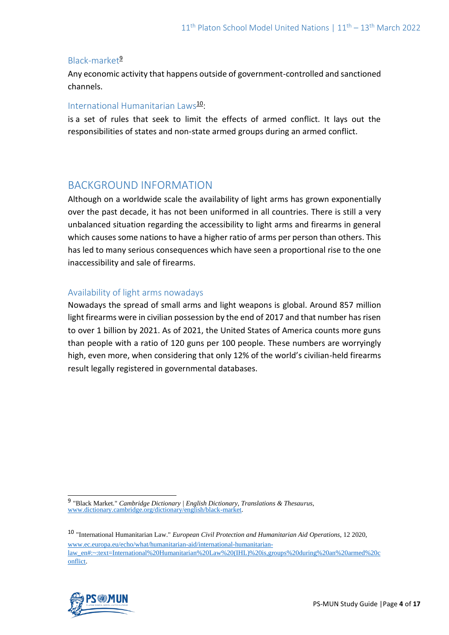### Black-market<sup>9</sup>

Any economic activity that happens outside of government-controlled and sanctioned channels.

### International Humanitarian Laws<sup>10</sup>:

is a set of rules that seek to limit the effects of armed conflict. It lays out the responsibilities of states and non-state armed groups during an armed conflict.

## BACKGROUND INFORMATION

Although on a worldwide scale the availability of light arms has grown exponentially over the past decade, it has not been uniformed in all countries. There is still a very unbalanced situation regarding the accessibility to light arms and firearms in general which causes some nations to have a higher ratio of arms per person than others. This has led to many serious consequences which have seen a proportional rise to the one inaccessibility and sale of firearms.

### Availability of light arms nowadays

Nowadays the spread of small arms and light weapons is global. Around 857 million light firearms were in civilian possession by the end of 2017 and that number has risen to over 1 billion by 2021. As of 2021, the United States of America counts more guns than people with a ratio of 120 guns per 100 people. These numbers are worryingly high, even more, when considering that only 12% of the world's civilian-held firearms result legally registered in governmental databases.

<sup>10</sup> "International Humanitarian Law." *European Civil Protection and Humanitarian Aid Operations*, 12 2020, [www.ec.europa.eu/echo/what/humanitarian-aid/international-humanitarian](http://www.ec.europa.eu/echo/what/humanitarian-aid/international-humanitarian-law_en#:~:text=International%20Humanitarian%20Law%20(IHL)%20is,groups%20during%20an%20armed%20conflict)[law\\_en#:~:text=International%20Humanitarian%20Law%20\(IHL\)%20is,groups%20during%20an%20armed%20c](http://www.ec.europa.eu/echo/what/humanitarian-aid/international-humanitarian-law_en#:~:text=International%20Humanitarian%20Law%20(IHL)%20is,groups%20during%20an%20armed%20conflict) [onflict.](http://www.ec.europa.eu/echo/what/humanitarian-aid/international-humanitarian-law_en#:~:text=International%20Humanitarian%20Law%20(IHL)%20is,groups%20during%20an%20armed%20conflict) 



<sup>9</sup> "Black Market." *Cambridge Dictionary | English Dictionary, Translations & Thesaurus*, [www.dictionary.cambridge.org/dictionary/english/black-market.](http://www.dictionary.cambridge.org/dictionary/english/black-market)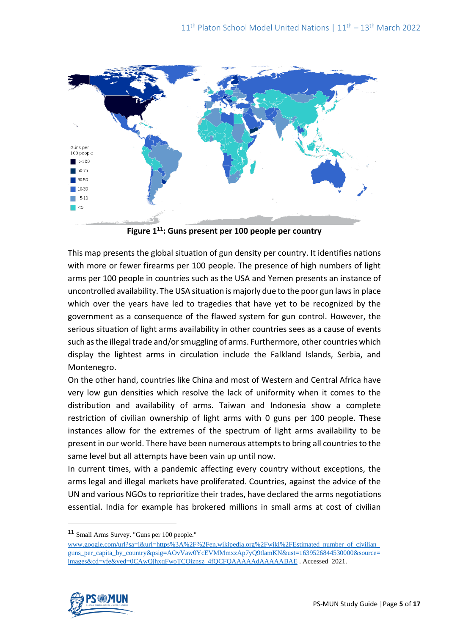

**Figure 1<sup>11</sup>: Guns present per 100 people per country**

This map presents the global situation of gun density per country. It identifies nations with more or fewer firearms per 100 people. The presence of high numbers of light arms per 100 people in countries such as the USA and Yemen presents an instance of uncontrolled availability. The USA situation is majorly due to the poor gun laws in place which over the years have led to tragedies that have yet to be recognized by the government as a consequence of the flawed system for gun control. However, the serious situation of light arms availability in other countries sees as a cause of events such as the illegal trade and/or smuggling of arms. Furthermore, other countries which display the lightest arms in circulation include the Falkland Islands, Serbia, and Montenegro.

On the other hand, countries like China and most of Western and Central Africa have very low gun densities which resolve the lack of uniformity when it comes to the distribution and availability of arms. Taiwan and Indonesia show a complete restriction of civilian ownership of light arms with 0 guns per 100 people. These instances allow for the extremes of the spectrum of light arms availability to be present in our world. There have been numerous attempts to bring all countries to the same level but all attempts have been vain up until now.

In current times, with a pandemic affecting every country without exceptions, the arms legal and illegal markets have proliferated. Countries, against the advice of the UN and various NGOs to reprioritize their trades, have declared the arms negotiations essential. India for example has brokered millions in small arms at cost of civilian

[www.google.com/url?sa=i&url=https%3A%2F%2Fen.wikipedia.org%2Fwiki%2FEstimated\\_number\\_of\\_civilian\\_](http://www.google.com/url?sa=i&url=https%3A%2F%2Fen.wikipedia.org%2Fwiki%2FEstimated_number_of_civilian_guns_per_capita_by_country&psig=AOvVaw0YcEVMMmxzAp7yQ9tlamKN&ust=1639526844530000&source=images&cd=vfe&ved=0CAwQjhxqFwoTCOiznsz_4fQCFQAAAAAdAAAAABAE) [guns\\_per\\_capita\\_by\\_country&psig=AOvVaw0YcEVMMmxzAp7yQ9tlamKN&ust=1639526844530000&source=](http://www.google.com/url?sa=i&url=https%3A%2F%2Fen.wikipedia.org%2Fwiki%2FEstimated_number_of_civilian_guns_per_capita_by_country&psig=AOvVaw0YcEVMMmxzAp7yQ9tlamKN&ust=1639526844530000&source=images&cd=vfe&ved=0CAwQjhxqFwoTCOiznsz_4fQCFQAAAAAdAAAAABAE) [images&cd=vfe&ved=0CAwQjhxqFwoTCOiznsz\\_4fQCFQAAAAAdAAAAABAE](http://www.google.com/url?sa=i&url=https%3A%2F%2Fen.wikipedia.org%2Fwiki%2FEstimated_number_of_civilian_guns_per_capita_by_country&psig=AOvVaw0YcEVMMmxzAp7yQ9tlamKN&ust=1639526844530000&source=images&cd=vfe&ved=0CAwQjhxqFwoTCOiznsz_4fQCFQAAAAAdAAAAABAE) . Accessed 2021.



<sup>11</sup> Small Arms Survey. "Guns per 100 people."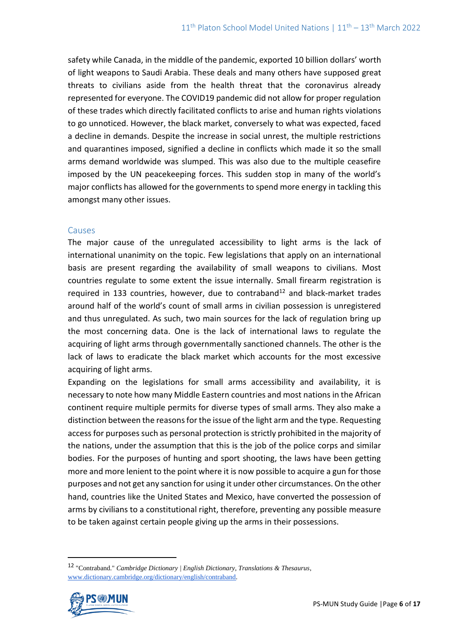safety while Canada, in the middle of the pandemic, exported 10 billion dollars' worth of light weapons to Saudi Arabia. These deals and many others have supposed great threats to civilians aside from the health threat that the coronavirus already represented for everyone. The COVID19 pandemic did not allow for proper regulation of these trades which directly facilitated conflicts to arise and human rights violations to go unnoticed. However, the black market, conversely to what was expected, faced a decline in demands. Despite the increase in social unrest, the multiple restrictions and quarantines imposed, signified a decline in conflicts which made it so the small arms demand worldwide was slumped. This was also due to the multiple ceasefire imposed by the UN peacekeeping forces. This sudden stop in many of the world's major conflicts has allowed for the governments to spend more energy in tackling this amongst many other issues.

#### Causes

The major cause of the unregulated accessibility to light arms is the lack of international unanimity on the topic. Few legislations that apply on an international basis are present regarding the availability of small weapons to civilians. Most countries regulate to some extent the issue internally. Small firearm registration is required in 133 countries, however, due to contraband<sup>12</sup> and black-market trades around half of the world's count of small arms in civilian possession is unregistered and thus unregulated. As such, two main sources for the lack of regulation bring up the most concerning data. One is the lack of international laws to regulate the acquiring of light arms through governmentally sanctioned channels. The other is the lack of laws to eradicate the black market which accounts for the most excessive acquiring of light arms.

Expanding on the legislations for small arms accessibility and availability, it is necessary to note how many Middle Eastern countries and most nations in the African continent require multiple permits for diverse types of small arms. They also make a distinction between the reasons for the issue of the light arm and the type. Requesting access for purposes such as personal protection is strictly prohibited in the majority of the nations, under the assumption that this is the job of the police corps and similar bodies. For the purposes of hunting and sport shooting, the laws have been getting more and more lenient to the point where it is now possible to acquire a gun for those purposes and not get any sanction for using it under other circumstances. On the other hand, countries like the United States and Mexico, have converted the possession of arms by civilians to a constitutional right, therefore, preventing any possible measure to be taken against certain people giving up the arms in their possessions.

<sup>12</sup> "Contraband." *Cambridge Dictionary | English Dictionary, Translations & Thesaurus*, [www.dictionary.cambridge.org/dictionary/english/contraband.](http://www.dictionary.cambridge.org/dictionary/english/contraband)

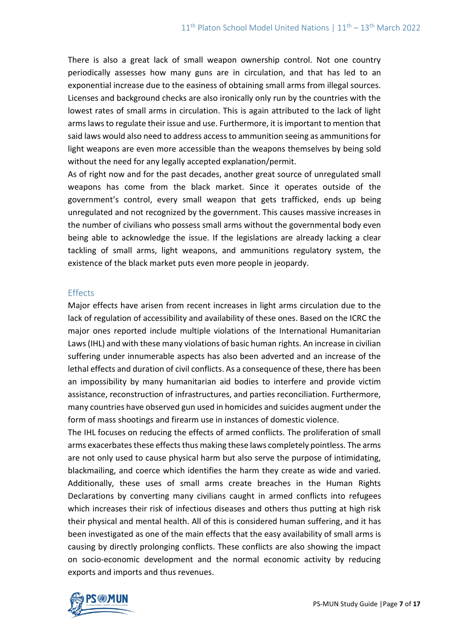There is also a great lack of small weapon ownership control. Not one country periodically assesses how many guns are in circulation, and that has led to an exponential increase due to the easiness of obtaining small arms from illegal sources. Licenses and background checks are also ironically only run by the countries with the lowest rates of small arms in circulation. This is again attributed to the lack of light arms laws to regulate their issue and use. Furthermore, it is important to mention that said laws would also need to address access to ammunition seeing as ammunitions for light weapons are even more accessible than the weapons themselves by being sold without the need for any legally accepted explanation/permit.

As of right now and for the past decades, another great source of unregulated small weapons has come from the black market. Since it operates outside of the government's control, every small weapon that gets trafficked, ends up being unregulated and not recognized by the government. This causes massive increases in the number of civilians who possess small arms without the governmental body even being able to acknowledge the issue. If the legislations are already lacking a clear tackling of small arms, light weapons, and ammunitions regulatory system, the existence of the black market puts even more people in jeopardy.

#### **Effects**

Major effects have arisen from recent increases in light arms circulation due to the lack of regulation of accessibility and availability of these ones. Based on the ICRC the major ones reported include multiple violations of the International Humanitarian Laws (IHL) and with these many violations of basic human rights. An increase in civilian suffering under innumerable aspects has also been adverted and an increase of the lethal effects and duration of civil conflicts. As a consequence of these, there has been an impossibility by many humanitarian aid bodies to interfere and provide victim assistance, reconstruction of infrastructures, and parties reconciliation. Furthermore, many countries have observed gun used in homicides and suicides augment under the form of mass shootings and firearm use in instances of domestic violence.

The IHL focuses on reducing the effects of armed conflicts. The proliferation of small arms exacerbates these effects thus making these laws completely pointless. The arms are not only used to cause physical harm but also serve the purpose of intimidating, blackmailing, and coerce which identifies the harm they create as wide and varied. Additionally, these uses of small arms create breaches in the Human Rights Declarations by converting many civilians caught in armed conflicts into refugees which increases their risk of infectious diseases and others thus putting at high risk their physical and mental health. All of this is considered human suffering, and it has been investigated as one of the main effects that the easy availability of small arms is causing by directly prolonging conflicts. These conflicts are also showing the impact on socio-economic development and the normal economic activity by reducing exports and imports and thus revenues.

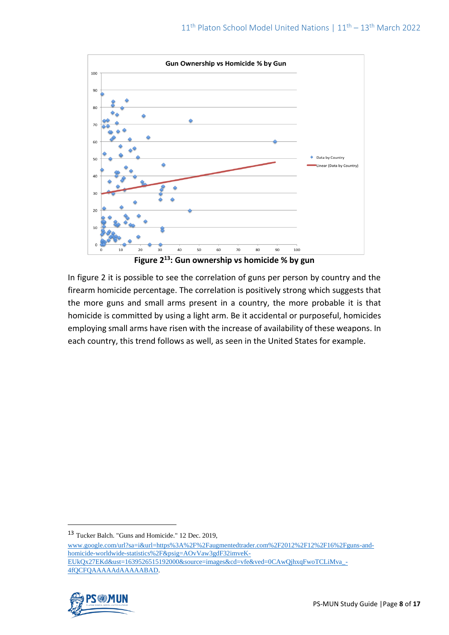

**Figure 2<sup>13</sup>: Gun ownership vs homicide % by gun**

In figure 2 it is possible to see the correlation of guns per person by country and the firearm homicide percentage. The correlation is positively strong which suggests that the more guns and small arms present in a country, the more probable it is that homicide is committed by using a light arm. Be it accidental or purposeful, homicides employing small arms have risen with the increase of availability of these weapons. In each country, this trend follows as well, as seen in the United States for example.

[www.google.com/url?sa=i&url=https%3A%2F%2Faugmentedtrader.com%2F2012%2F12%2F16%2Fguns-and](http://www.google.com/url?sa=i&url=https%3A%2F%2Faugmentedtrader.com%2F2012%2F12%2F16%2Fguns-and-homicide-worldwide-statistics%2F&psig=AOvVaw3gdF32imveK-EUkQx27EKd&ust=1639526515192000&source=images&cd=vfe&ved=0CAwQjhxqFwoTCLiMva_-4fQCFQAAAAAdAAAAABAD)[homicide-worldwide-statistics%2F&psig=AOvVaw3gdF32imveK-](http://www.google.com/url?sa=i&url=https%3A%2F%2Faugmentedtrader.com%2F2012%2F12%2F16%2Fguns-and-homicide-worldwide-statistics%2F&psig=AOvVaw3gdF32imveK-EUkQx27EKd&ust=1639526515192000&source=images&cd=vfe&ved=0CAwQjhxqFwoTCLiMva_-4fQCFQAAAAAdAAAAABAD)[EUkQx27EKd&ust=1639526515192000&source=images&cd=vfe&ved=0CAwQjhxqFwoTCLiMva\\_-](http://www.google.com/url?sa=i&url=https%3A%2F%2Faugmentedtrader.com%2F2012%2F12%2F16%2Fguns-and-homicide-worldwide-statistics%2F&psig=AOvVaw3gdF32imveK-EUkQx27EKd&ust=1639526515192000&source=images&cd=vfe&ved=0CAwQjhxqFwoTCLiMva_-4fQCFQAAAAAdAAAAABAD) [4fQCFQAAAAAdAAAAABAD.](http://www.google.com/url?sa=i&url=https%3A%2F%2Faugmentedtrader.com%2F2012%2F12%2F16%2Fguns-and-homicide-worldwide-statistics%2F&psig=AOvVaw3gdF32imveK-EUkQx27EKd&ust=1639526515192000&source=images&cd=vfe&ved=0CAwQjhxqFwoTCLiMva_-4fQCFQAAAAAdAAAAABAD)



<sup>13</sup> Tucker Balch. "Guns and Homicide." 12 Dec. 2019,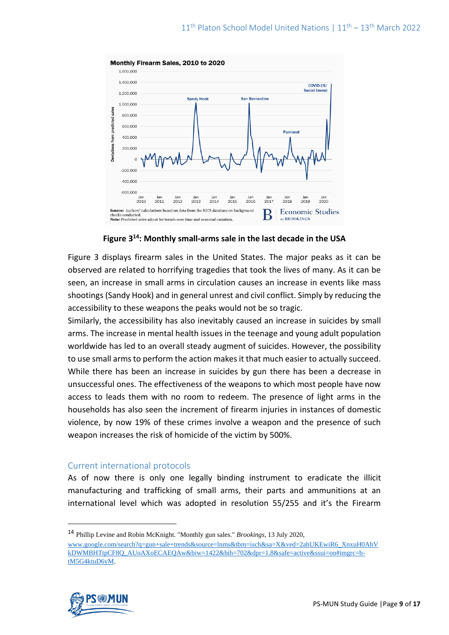

**Figure 3<sup>14</sup>: Monthly small-arms sale in the last decade in the USA**

Figure 3 displays firearm sales in the United States. The major peaks as it can be observed are related to horrifying tragedies that took the lives of many. As it can be seen, an increase in small arms in circulation causes an increase in events like mass shootings (Sandy Hook) and in general unrest and civil conflict. Simply by reducing the accessibility to these weapons the peaks would not be so tragic.

Similarly, the accessibility has also inevitably caused an increase in suicides by small arms. The increase in mental health issues in the teenage and young adult population worldwide has led to an overall steady augment of suicides. However, the possibility to use small arms to perform the action makes it that much easier to actually succeed. While there has been an increase in suicides by gun there has been a decrease in unsuccessful ones. The effectiveness of the weapons to which most people have now access to leads them with no room to redeem. The presence of light arms in the households has also seen the increment of firearm injuries in instances of domestic violence, by now 19% of these crimes involve a weapon and the presence of such weapon increases the risk of homicide of the victim by 500%.

#### Current international protocols

As of now there is only one legally binding instrument to eradicate the illicit manufacturing and trafficking of small arms, their parts and ammunitions at an international level which was adopted in resolution 55/255 and it's the Firearm

[www.google.com/search?q=gun+sale+trends&source=lnms&tbm=isch&sa=X&ved=2ahUKEwiR6\\_XnxuH0AhV](http://www.google.com/search?q=gun+sale+trends&source=lnms&tbm=isch&sa=X&ved=2ahUKEwiR6_XnxuH0AhVkDWMBHTtpCF8Q_AUoAXoECAEQAw&biw=1422&bih=702&dpr=1.8&safe=active&ssui=on#imgrc=b-tM5G4ktuD6yM) [kDWMBHTtpCF8Q\\_AUoAXoECAEQAw&biw=1422&bih=702&dpr=1.8&safe=active&ssui=on#imgrc=b](http://www.google.com/search?q=gun+sale+trends&source=lnms&tbm=isch&sa=X&ved=2ahUKEwiR6_XnxuH0AhVkDWMBHTtpCF8Q_AUoAXoECAEQAw&biw=1422&bih=702&dpr=1.8&safe=active&ssui=on#imgrc=b-tM5G4ktuD6yM)[tM5G4ktuD6yM.](http://www.google.com/search?q=gun+sale+trends&source=lnms&tbm=isch&sa=X&ved=2ahUKEwiR6_XnxuH0AhVkDWMBHTtpCF8Q_AUoAXoECAEQAw&biw=1422&bih=702&dpr=1.8&safe=active&ssui=on#imgrc=b-tM5G4ktuD6yM)



<sup>14</sup> Phillip Levine and Robin McKnight. "Monthly gun sales." *Brookings*, 13 July 2020,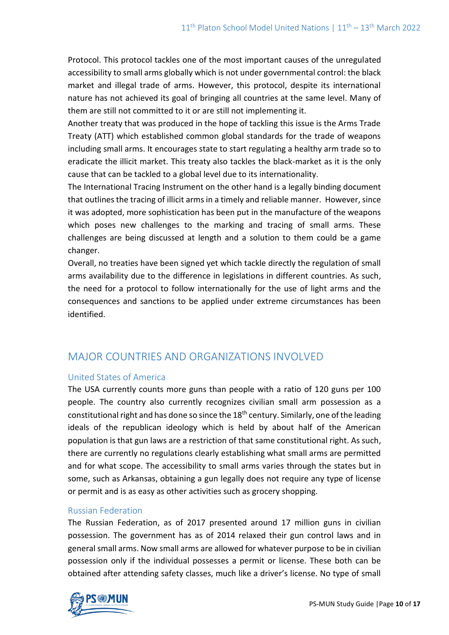Protocol. This protocol tackles one of the most important causes of the unregulated accessibility to small arms globally which is not under governmental control: the black market and illegal trade of arms. However, this protocol, despite its international nature has not achieved its goal of bringing all countries at the same level. Many of them are still not committed to it or are still not implementing it.

Another treaty that was produced in the hope of tackling this issue is the Arms Trade Treaty (ATT) which established common global standards for the trade of weapons including small arms. It encourages state to start regulating a healthy arm trade so to eradicate the illicit market. This treaty also tackles the black-market as it is the only cause that can be tackled to a global level due to its internationality.

The International Tracing Instrument on the other hand is a legally binding document that outlines the tracing of illicit arms in a timely and reliable manner. However, since it was adopted, more sophistication has been put in the manufacture of the weapons which poses new challenges to the marking and tracing of small arms. These challenges are being discussed at length and a solution to them could be a game changer.

Overall, no treaties have been signed yet which tackle directly the regulation of small arms availability due to the difference in legislations in different countries. As such, the need for a protocol to follow internationally for the use of light arms and the consequences and sanctions to be applied under extreme circumstances has been identified.

# MAJOR COUNTRIES AND ORGANIZATIONS INVOLVED

### United States of America

The USA currently counts more guns than people with a ratio of 120 guns per 100 people. The country also currently recognizes civilian small arm possession as a constitutional right and has done so since the  $18<sup>th</sup>$  century. Similarly, one of the leading ideals of the republican ideology which is held by about half of the American population is that gun laws are a restriction of that same constitutional right. As such, there are currently no regulations clearly establishing what small arms are permitted and for what scope. The accessibility to small arms varies through the states but in some, such as Arkansas, obtaining a gun legally does not require any type of license or permit and is as easy as other activities such as grocery shopping.

## Russian Federation

The Russian Federation, as of 2017 presented around 17 million guns in civilian possession. The government has as of 2014 relaxed their gun control laws and in general small arms. Now small arms are allowed for whatever purpose to be in civilian possession only if the individual possesses a permit or license. These both can be obtained after attending safety classes, much like a driver's license. No type of small

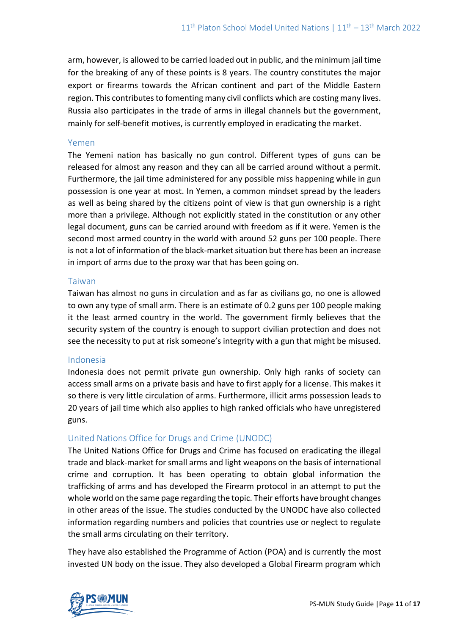arm, however, is allowed to be carried loaded out in public, and the minimum jail time for the breaking of any of these points is 8 years. The country constitutes the major export or firearms towards the African continent and part of the Middle Eastern region. This contributes to fomenting many civil conflicts which are costing many lives. Russia also participates in the trade of arms in illegal channels but the government, mainly for self-benefit motives, is currently employed in eradicating the market.

#### Yemen

The Yemeni nation has basically no gun control. Different types of guns can be released for almost any reason and they can all be carried around without a permit. Furthermore, the jail time administered for any possible miss happening while in gun possession is one year at most. In Yemen, a common mindset spread by the leaders as well as being shared by the citizens point of view is that gun ownership is a right more than a privilege. Although not explicitly stated in the constitution or any other legal document, guns can be carried around with freedom as if it were. Yemen is the second most armed country in the world with around 52 guns per 100 people. There is not a lot of information of the black-market situation but there has been an increase in import of arms due to the proxy war that has been going on.

#### Taiwan

Taiwan has almost no guns in circulation and as far as civilians go, no one is allowed to own any type of small arm. There is an estimate of 0.2 guns per 100 people making it the least armed country in the world. The government firmly believes that the security system of the country is enough to support civilian protection and does not see the necessity to put at risk someone's integrity with a gun that might be misused.

#### Indonesia

Indonesia does not permit private gun ownership. Only high ranks of society can access small arms on a private basis and have to first apply for a license. This makes it so there is very little circulation of arms. Furthermore, illicit arms possession leads to 20 years of jail time which also applies to high ranked officials who have unregistered guns.

### United Nations Office for Drugs and Crime (UNODC)

The United Nations Office for Drugs and Crime has focused on eradicating the illegal trade and black-market for small arms and light weapons on the basis of international crime and corruption. It has been operating to obtain global information the trafficking of arms and has developed the Firearm protocol in an attempt to put the whole world on the same page regarding the topic. Their efforts have brought changes in other areas of the issue. The studies conducted by the UNODC have also collected information regarding numbers and policies that countries use or neglect to regulate the small arms circulating on their territory.

They have also established the Programme of Action (POA) and is currently the most invested UN body on the issue. They also developed a Global Firearm program which

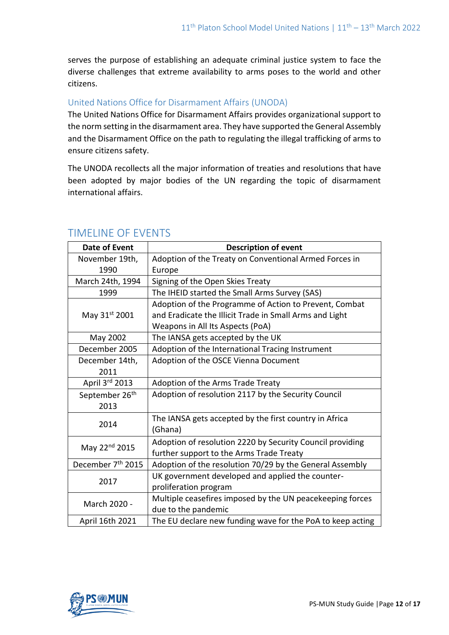serves the purpose of establishing an adequate criminal justice system to face the diverse challenges that extreme availability to arms poses to the world and other citizens.

## United Nations Office for Disarmament Affairs (UNODA)

The United Nations Office for Disarmament Affairs provides organizational support to the norm setting in the disarmament area. They have supported the General Assembly and the Disarmament Office on the path to regulating the illegal trafficking of arms to ensure citizens safety.

The UNODA recollects all the major information of treaties and resolutions that have been adopted by major bodies of the UN regarding the topic of disarmament international affairs.

| Date of Event                 | <b>Description of event</b>                                |
|-------------------------------|------------------------------------------------------------|
| November 19th,                | Adoption of the Treaty on Conventional Armed Forces in     |
| 1990                          | Europe                                                     |
| March 24th, 1994              | Signing of the Open Skies Treaty                           |
| 1999                          | The IHEID started the Small Arms Survey (SAS)              |
| May 31st 2001                 | Adoption of the Programme of Action to Prevent, Combat     |
|                               | and Eradicate the Illicit Trade in Small Arms and Light    |
|                               | Weapons in All Its Aspects (PoA)                           |
| May 2002                      | The IANSA gets accepted by the UK                          |
| December 2005                 | Adoption of the International Tracing Instrument           |
| December 14th,                | Adoption of the OSCE Vienna Document                       |
| 2011                          |                                                            |
| April 3rd 2013                | Adoption of the Arms Trade Treaty                          |
| September 26th                | Adoption of resolution 2117 by the Security Council        |
| 2013                          |                                                            |
| 2014                          | The IANSA gets accepted by the first country in Africa     |
|                               | (Ghana)                                                    |
| May 22 <sup>nd</sup> 2015     | Adoption of resolution 2220 by Security Council providing  |
|                               | further support to the Arms Trade Treaty                   |
| December 7 <sup>th</sup> 2015 | Adoption of the resolution 70/29 by the General Assembly   |
| 2017                          | UK government developed and applied the counter-           |
|                               | proliferation program                                      |
| March 2020 -                  | Multiple ceasefires imposed by the UN peacekeeping forces  |
|                               | due to the pandemic                                        |
| April 16th 2021               | The EU declare new funding wave for the PoA to keep acting |

## TIMELINE OF EVENTS

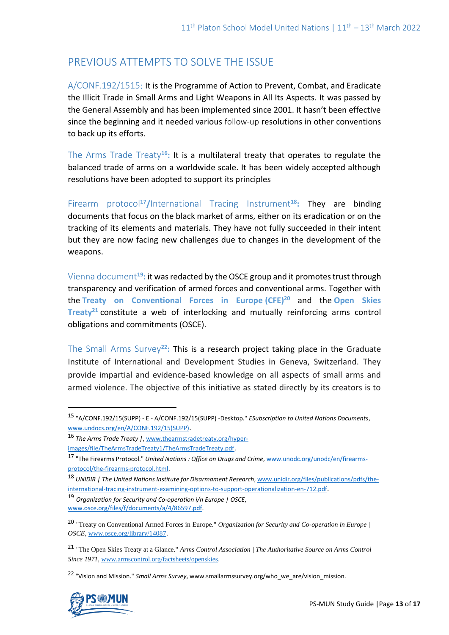# PREVIOUS ATTEMPTS TO SOLVE THE ISSUE

A/CONF.192/1515: It is the Programme of Action to Prevent, Combat, and Eradicate the Illicit Trade in Small Arms and Light Weapons in All Its Aspects. It was passed by the General Assembly and has been implemented since 2001. It hasn't been effective since the beginning and it needed various follow-up resolutions in other conventions to back up its efforts.

The Arms Trade Treaty**<sup>16</sup>:** It is a multilateral treaty that operates to regulate the balanced trade of arms on a worldwide scale. It has been widely accepted although resolutions have been adopted to support its principles

Firearm protocol**<sup>17</sup>/**International Tracing Instrument**<sup>18</sup>:** They are binding documents that focus on the black market of arms, either on its eradication or on the tracking of its elements and materials. They have not fully succeeded in their intent but they are now facing new challenges due to changes in the development of the weapons.

Vienna document**<sup>19</sup>:** it was redacted by the OSCE group and it promotes trust through transparency and verification of armed forces and conventional arms. Together with the **Treaty on Conventional Forces in Europe (CFE)<sup>20</sup>** and the **Open Skies Treaty<sup>21</sup>** constitute a web of interlocking and mutually reinforcing arms control obligations and commitments (OSCE).

The Small Arms Survey**<sup>22</sup>:** This is a research project taking place in the Graduate Institute of International and Development Studies in Geneva, Switzerland. They provide impartial and evidence-based knowledge on all aspects of small arms and armed violence. The objective of this initiative as stated directly by its creators is to

<sup>22</sup> "Vision and Mission." *Small Arms Survey*, www.smallarmssurvey.org/who\_we\_are/vision\_mission.



<sup>15</sup> "A/CONF.192/15(SUPP) - E - A/CONF.192/15(SUPP) -Desktop." *ESubscription to United Nations Documents*, [www.undocs.org/en/A/CONF.192/15\(SUPP\)](http://www.undocs.org/en/A/CONF.192/15(SUPP)).

<sup>16</sup> *The Arms Trade Treaty |*[, www.thearmstradetreaty.org/hyper-](http://www.thearmstradetreaty.org/hyper-images/file/TheArmsTradeTreaty1/TheArmsTradeTreaty.pdf)

[images/file/TheArmsTradeTreaty1/TheArmsTradeTreaty.pdf](http://www.thearmstradetreaty.org/hyper-images/file/TheArmsTradeTreaty1/TheArmsTradeTreaty.pdf).

<sup>17</sup> "The Firearms Protocol." *United Nations : Office on Drugs and Crime*[, www.unodc.org/unodc/en/firearms](http://www.unodc.org/unodc/en/firearms-protocol/the-firearms-protocol.html)[protocol/the-firearms-protocol.html](http://www.unodc.org/unodc/en/firearms-protocol/the-firearms-protocol.html).

<sup>18</sup> *UNIDIR | The United Nations Institute for Disarmament Research*[, www.unidir.org/files/publications/pdfs/the](http://www.unidir.org/files/publications/pdfs/the-international-tracing-instrument-examining-options-to-support-operationalization-en-712.pdf)[international-tracing-instrument-examining-options-to-support-operationalization-en-712.pdf](http://www.unidir.org/files/publications/pdfs/the-international-tracing-instrument-examining-options-to-support-operationalization-en-712.pdf).

<sup>19</sup> *Organization for Security and Co-operation i/n Europe | OSCE*, [www.osce.org/files/f/documents/a/4/86597.pdf.](http://www.osce.org/files/f/documents/a/4/86597.pdf)

<sup>20</sup> "Treaty on Conventional Armed Forces in Europe." *Organization for Security and Co-operation in Europe | OSCE*, [www.osce.org/library/14087.](http://www.osce.org/library/14087) 

<sup>21</sup> "The Open Skies Treaty at a Glance." *Arms Control Association | The Authoritative Source on Arms Control Since 1971*[, www.armscontrol.org/factsheets/openskies.](http://www.armscontrol.org/factsheets/openskies)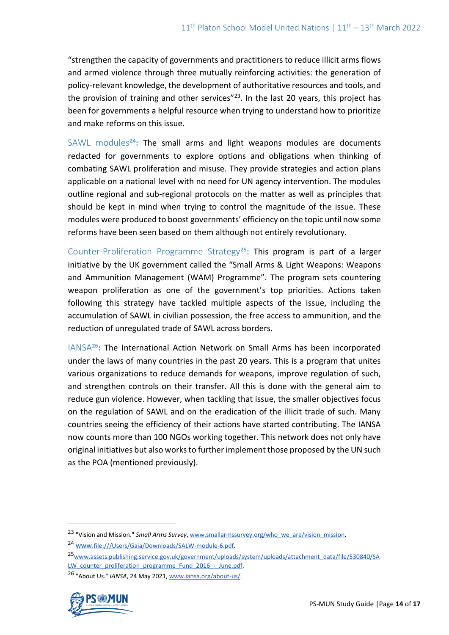"strengthen the capacity of governments and practitioners to reduce illicit arms flows and armed violence through three mutually reinforcing activities: the generation of policy-relevant knowledge, the development of authoritative resources and tools, and the provision of training and other services" $^{23}$ . In the last 20 years, this project has been for governments a helpful resource when trying to understand how to prioritize and make reforms on this issue.

SAWL modules**<sup>24</sup>:** The small arms and light weapons modules are documents redacted for governments to explore options and obligations when thinking of combating SAWL proliferation and misuse. They provide strategies and action plans applicable on a national level with no need for UN agency intervention. The modules outline regional and sub-regional protocols on the matter as well as principles that should be kept in mind when trying to control the magnitude of the issue. These modules were produced to boost governments' efficiency on the topic until now some reforms have been seen based on them although not entirely revolutionary.

Counter-Proliferation Programme Strategy**<sup>25</sup>:** This program is part of a larger initiative by the UK government called the "Small Arms & Light Weapons: Weapons and Ammunition Management (WAM) Programme". The program sets countering weapon proliferation as one of the government's top priorities. Actions taken following this strategy have tackled multiple aspects of the issue, including the accumulation of SAWL in civilian possession, the free access to ammunition, and the reduction of unregulated trade of SAWL across borders.

IANSA**<sup>26</sup>:** The International Action Network on Small Arms has been incorporated under the laws of many countries in the past 20 years. This is a program that unites various organizations to reduce demands for weapons, improve regulation of such, and strengthen controls on their transfer. All this is done with the general aim to reduce gun violence. However, when tackling that issue, the smaller objectives focus on the regulation of SAWL and on the eradication of the illicit trade of such. Many countries seeing the efficiency of their actions have started contributing. The IANSA now counts more than 100 NGOs working together. This network does not only have original initiatives but also works to further implement those proposed by the UN such as the POA (mentioned previously).

<sup>26</sup> "About Us." *IANSA*, 24 May 2021[, www.iansa.org/about-us/.](http://www.iansa.org/about-us/) 



<sup>23</sup> "Vision and Mission." *Small Arms Survey*[, www.smallarmssurvey.org/who\\_we\\_are/vision\\_mission.](http://www.smallarmssurvey.org/who_we_are/vision_mission)

<sup>24</sup> [www.](about:blank)[file:///Users/Gaia/Downloads/SALW-module-6.pdf.](about:blank)

<sup>25</sup>[www.assets.publishing.service.gov.uk/government/uploads/system/uploads/attachment\\_data/file/530840/SA](http://www.assets.publishing.service.gov.uk/government/uploads/system/uploads/attachment_data/file/530840/SALW_counter_proliferation_programme_Fund_2016_-_June.pdf) LW counter proliferation programme Fund 2016 - June.pdf.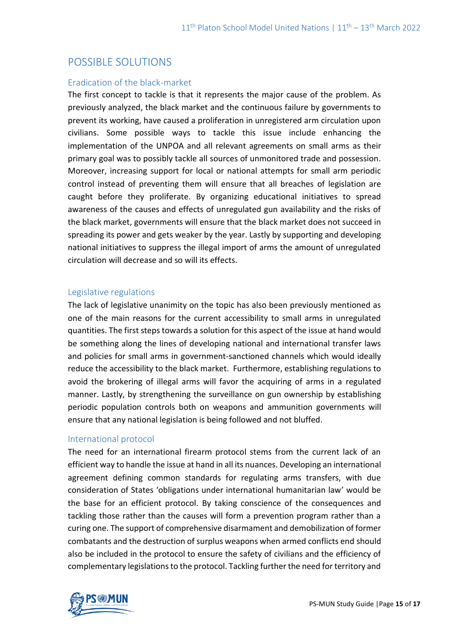## POSSIBLE SOLUTIONS

### Eradication of the black-market

The first concept to tackle is that it represents the major cause of the problem. As previously analyzed, the black market and the continuous failure by governments to prevent its working, have caused a proliferation in unregistered arm circulation upon civilians. Some possible ways to tackle this issue include enhancing the implementation of the UNPOA and all relevant agreements on small arms as their primary goal was to possibly tackle all sources of unmonitored trade and possession. Moreover, increasing support for local or national attempts for small arm periodic control instead of preventing them will ensure that all breaches of legislation are caught before they proliferate. By organizing educational initiatives to spread awareness of the causes and effects of unregulated gun availability and the risks of the black market, governments will ensure that the black market does not succeed in spreading its power and gets weaker by the year. Lastly by supporting and developing national initiatives to suppress the illegal import of arms the amount of unregulated circulation will decrease and so will its effects.

### Legislative regulations

The lack of legislative unanimity on the topic has also been previously mentioned as one of the main reasons for the current accessibility to small arms in unregulated quantities. The first steps towards a solution for this aspect of the issue at hand would be something along the lines of developing national and international transfer laws and policies for small arms in government-sanctioned channels which would ideally reduce the accessibility to the black market. Furthermore, establishing regulations to avoid the brokering of illegal arms will favor the acquiring of arms in a regulated manner. Lastly, by strengthening the surveillance on gun ownership by establishing periodic population controls both on weapons and ammunition governments will ensure that any national legislation is being followed and not bluffed.

### International protocol

The need for an international firearm protocol stems from the current lack of an efficient way to handle the issue at hand in all its nuances. Developing an international agreement defining common standards for regulating arms transfers, with due consideration of States 'obligations under international humanitarian law' would be the base for an efficient protocol. By taking conscience of the consequences and tackling those rather than the causes will form a prevention program rather than a curing one. The support of comprehensive disarmament and demobilization of former combatants and the destruction of surplus weapons when armed conflicts end should also be included in the protocol to ensure the safety of civilians and the efficiency of complementary legislations to the protocol. Tackling further the need for territory and

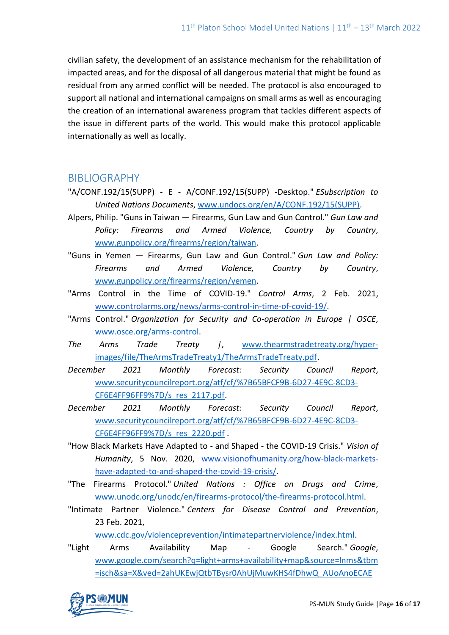civilian safety, the development of an assistance mechanism for the rehabilitation of impacted areas, and for the disposal of all dangerous material that might be found as residual from any armed conflict will be needed. The protocol is also encouraged to support all national and international campaigns on small arms as well as encouraging the creation of an international awareness program that tackles different aspects of the issue in different parts of the world. This would make this protocol applicable internationally as well as locally.

## BIBLIOGRAPHY

- "A/CONF.192/15(SUPP) E A/CONF.192/15(SUPP) -Desktop." *ESubscription to United Nations Documents*, [www.undocs.org/en/A/CONF.192/15\(SUPP\).](http://www.undocs.org/en/A/CONF.192/15(SUPP))
- Alpers, Philip. "Guns in Taiwan Firearms, Gun Law and Gun Control." *Gun Law and Policy: Firearms and Armed Violence, Country by Country*, [www.gunpolicy.org/firearms/region/taiwan.](http://www.gunpolicy.org/firearms/region/taiwan)
- "Guns in Yemen Firearms, Gun Law and Gun Control." *Gun Law and Policy: Firearms and Armed Violence, Country by Country*, [www.gunpolicy.org/firearms/region/yemen.](http://www.gunpolicy.org/firearms/region/yemen)
- "Arms Control in the Time of COVID-19." *Control Arms*, 2 Feb. 2021, [www.controlarms.org/news/arms-control-in-time-of-covid-19/.](http://www.controlarms.org/news/arms-control-in-time-of-covid-19/)
- "Arms Control." *Organization for Security and Co-operation in Europe | OSCE*, [www.osce.org/arms-control.](http://www.osce.org/arms-control)
- *The Arms Trade Treaty |*, [www.thearmstradetreaty.org/hyper](http://www.thearmstradetreaty.org/hyper-images/file/TheArmsTradeTreaty1/TheArmsTradeTreaty.pdf)[images/file/TheArmsTradeTreaty1/TheArmsTradeTreaty.pdf.](http://www.thearmstradetreaty.org/hyper-images/file/TheArmsTradeTreaty1/TheArmsTradeTreaty.pdf)
- *December 2021 Monthly Forecast: Security Council Report*, [www.securitycouncilreport.org/atf/cf/%7B65BFCF9B-6D27-4E9C-8CD3-](http://www.securitycouncilreport.org/atf/cf/%7B65BFCF9B-6D27-4E9C-8CD3-CF6E4FF96FF9%7D/s_res_2117.pdf) [CF6E4FF96FF9%7D/s\\_res\\_2117.pdf.](http://www.securitycouncilreport.org/atf/cf/%7B65BFCF9B-6D27-4E9C-8CD3-CF6E4FF96FF9%7D/s_res_2117.pdf)
- *December 2021 Monthly Forecast: Security Council Report*, [www.securitycouncilreport.org/atf/cf/%7B65BFCF9B-6D27-4E9C-8CD3-](http://www.securitycouncilreport.org/atf/cf/%7B65BFCF9B-6D27-4E9C-8CD3-CF6E4FF96FF9%7D/s_res_2220.pdf) [CF6E4FF96FF9%7D/s\\_res\\_2220.pdf](http://www.securitycouncilreport.org/atf/cf/%7B65BFCF9B-6D27-4E9C-8CD3-CF6E4FF96FF9%7D/s_res_2220.pdf) .
- "How Black Markets Have Adapted to and Shaped the COVID-19 Crisis." *Vision of Humanity*, 5 Nov. 2020, [www.visionofhumanity.org/how-black-markets](http://www.visionofhumanity.org/how-black-markets-have-adapted-to-and-shaped-the-covid-19-crisis/)[have-adapted-to-and-shaped-the-covid-19-crisis/.](http://www.visionofhumanity.org/how-black-markets-have-adapted-to-and-shaped-the-covid-19-crisis/)
- "The Firearms Protocol." *United Nations : Office on Drugs and Crime*, [www.unodc.org/unodc/en/firearms-protocol/the-firearms-protocol.html.](http://www.unodc.org/unodc/en/firearms-protocol/the-firearms-protocol.html)
- "Intimate Partner Violence." *Centers for Disease Control and Prevention*, 23 Feb. 2021,

[www.cdc.gov/violenceprevention/intimatepartnerviolence/index.html.](http://www.cdc.gov/violenceprevention/intimatepartnerviolence/index.html)

"Light Arms Availability Map - Google Search." *Google*, [www.google.com/search?q=light+arms+availability+map&source=lnms&tbm](http://www.google.com/search?q=light+arms+availability+map&source=lnms&tbm=isch&sa=X&ved=2ahUKEwjQtbTBysr0AhUjMuwKHS4fDhwQ_AUoAnoECAEQBA&biw=1280&bih=689&dpr=2&safe=active&ssui=on#imgrc=y6Y7__ylJXsohM) [=isch&sa=X&ved=2ahUKEwjQtbTBysr0AhUjMuwKHS4fDhwQ\\_AUoAnoECAE](http://www.google.com/search?q=light+arms+availability+map&source=lnms&tbm=isch&sa=X&ved=2ahUKEwjQtbTBysr0AhUjMuwKHS4fDhwQ_AUoAnoECAEQBA&biw=1280&bih=689&dpr=2&safe=active&ssui=on#imgrc=y6Y7__ylJXsohM)